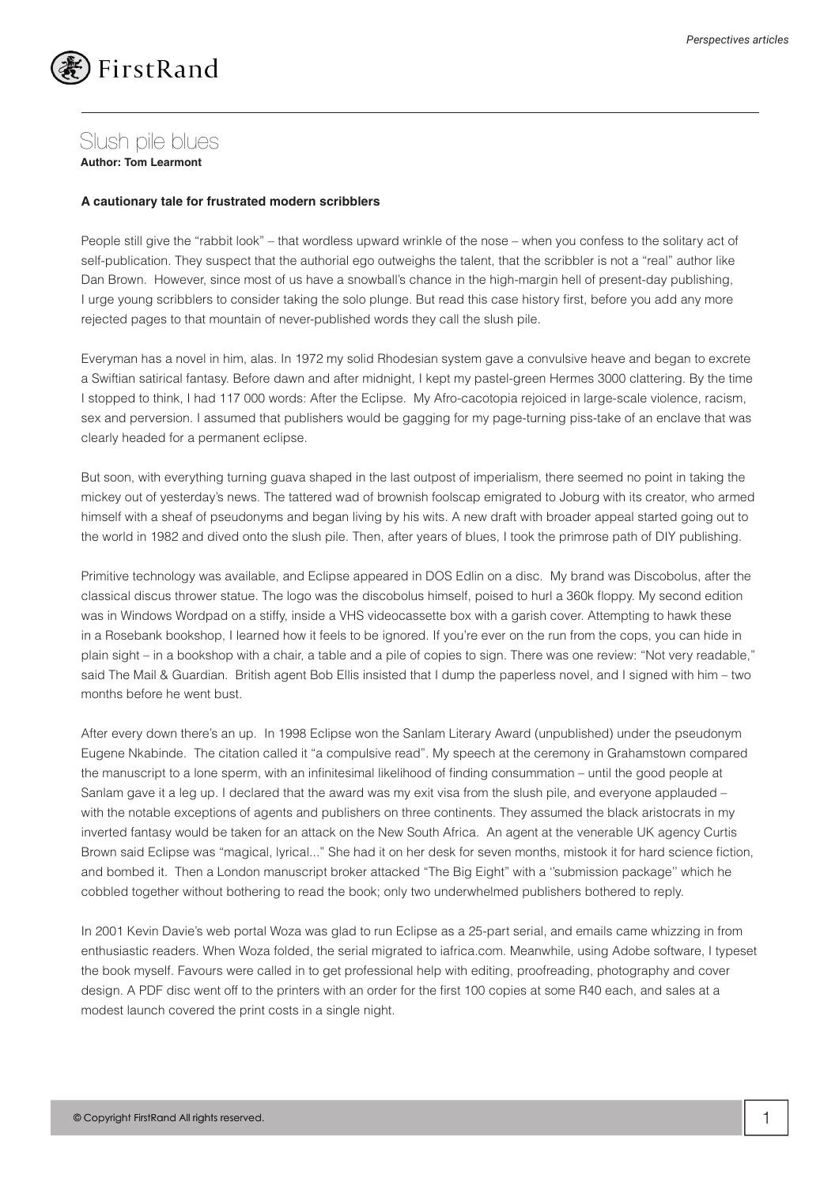

## Slush pile blues

**Author: Tom Learmont** 

## **A cautionary tale for frustrated modern scribblers**

People still give the "rabbit look" – that wordless upward wrinkle of the nose – when you confess to the solitary act of self-publication. They suspect that the authorial ego outweighs the talent, that the scribbler is not a "real" author like Dan Brown. However, since most of us have a snowball's chance in the high-margin hell of present-day publishing, I urge young scribblers to consider taking the solo plunge. But read this case history first, before you add any more rejected pages to that mountain of never-published words they call the slush pile.

Everyman has a novel in him, alas. In 1972 my solid Rhodesian system gave a convulsive heave and began to excrete a Swiftian satirical fantasy. Before dawn and after midnight, I kept my pastel-green Hermes 3000 clattering. By the time I stopped to think, I had 117 000 words: After the Eclipse. My Afro-cacotopia rejoiced in large-scale violence, racism, sex and perversion. I assumed that publishers would be gagging for my page-turning piss-take of an enclave that was clearly headed for a permanent eclipse.

But soon, with everything turning guava shaped in the last outpost of imperialism, there seemed no point in taking the mickey out of yesterday's news. The tattered wad of brownish foolscap emigrated to Joburg with its creator, who armed himself with a sheaf of pseudonyms and began living by his wits. A new draft with broader appeal started going out to the world in 1982 and dived onto the slush pile. Then, after years of blues, I took the primrose path of DIY publishing.

Primitive technology was available, and Eclipse appeared in DOS Edlin on a disc. My brand was Discobolus, after the classical discus thrower statue. The logo was the discobolus himself, poised to hurl a 360k floppy. My second edition was in Windows Wordpad on a stiffy, inside a VHS videocassette box with a garish cover. Attempting to hawk these in a Rosebank bookshop, I learned how it feels to be ignored. If you're ever on the run from the cops, you can hide in plain sight – in a bookshop with a chair, a table and a pile of copies to sign. There was one review: "Not very readable," said The Mail & Guardian. British agent Bob Ellis insisted that I dump the paperless novel, and I signed with him – two months before he went bust.

After every down there's an up. In 1998 Eclipse won the Sanlam Literary Award (unpublished) under the pseudonym Eugene Nkabinde. The citation called it "a compulsive read". My speech at the ceremony in Grahamstown compared the manuscript to a lone sperm, with an infinitesimal likelihood of finding consummation – until the good people at Sanlam gave it a leg up. I declared that the award was my exit visa from the slush pile, and everyone applauded – with the notable exceptions of agents and publishers on three continents. They assumed the black aristocrats in my inverted fantasy would be taken for an attack on the New South Africa. An agent at the venerable UK agency Curtis Brown said Eclipse was "magical, lyrical..." She had it on her desk for seven months, mistook it for hard science fiction, and bombed it. Then a London manuscript broker attacked "The Big Eight" with a ''submission package'' which he cobbled together without bothering to read the book; only two underwhelmed publishers bothered to reply.

In 2001 Kevin Davie's web portal Woza was glad to run Eclipse as a 25-part serial, and emails came whizzing in from enthusiastic readers. When Woza folded, the serial migrated to iafrica.com. Meanwhile, using Adobe software, I typeset the book myself. Favours were called in to get professional help with editing, proofreading, photography and cover design. A PDF disc went off to the printers with an order for the first 100 copies at some R40 each, and sales at a modest launch covered the print costs in a single night.